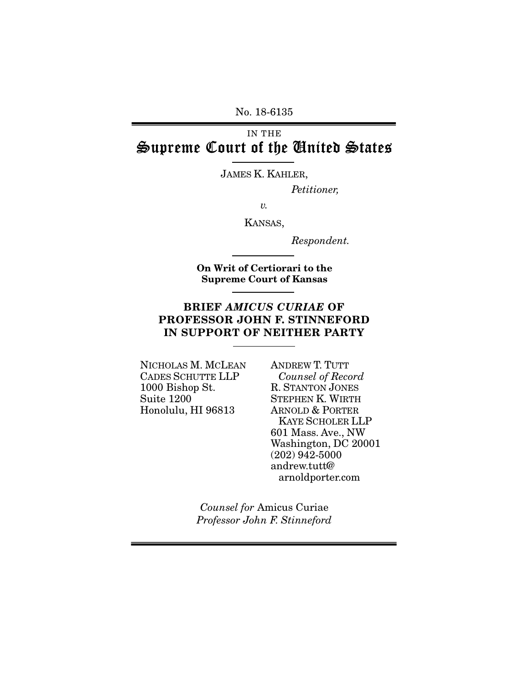No. 18-6135

# IN THE Supreme Court of the United States

JAMES K. KAHLER,

*Petitioner,* 

 *v.* 

KANSAS,

*Respondent.* 

On Writ of Certiorari to the Supreme Court of Kansas

## BRIEF AMICUS CURIAE OF PROFESSOR JOHN F. STINNEFORD IN SUPPORT OF NEITHER PARTY

NICHOLAS M. MCLEAN CADES SCHUTTE LLP 1000 Bishop St. Suite 1200 Honolulu, HI 96813

ANDREW T. TUTT *Counsel of Record* R. STANTON JONES STEPHEN K. WIRTH ARNOLD & PORTER KAYE SCHOLER LLP 601 Mass. Ave., NW Washington, DC 20001 (202) 942-5000 andrew.tutt@ arnoldporter.com

*Counsel for* Amicus Curiae *Professor John F. Stinneford*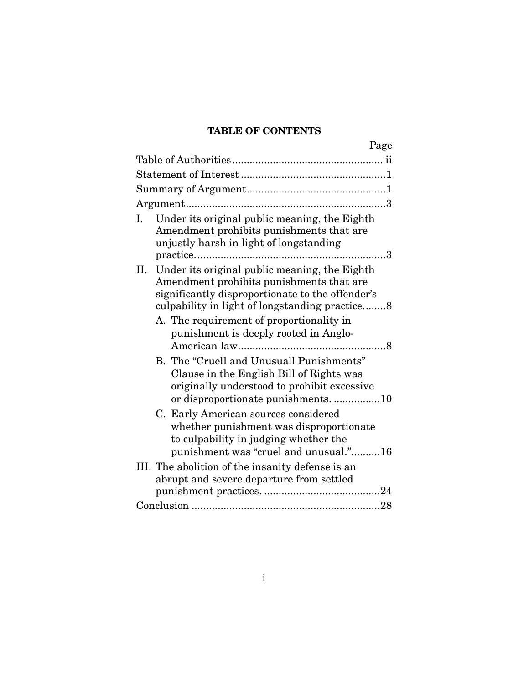# TABLE OF CONTENTS

| Page                                                                                                                                                                                                |
|-----------------------------------------------------------------------------------------------------------------------------------------------------------------------------------------------------|
|                                                                                                                                                                                                     |
|                                                                                                                                                                                                     |
|                                                                                                                                                                                                     |
|                                                                                                                                                                                                     |
| Under its original public meaning, the Eighth<br>L.<br>Amendment prohibits punishments that are<br>unjustly harsh in light of longstanding<br>. 3                                                   |
| II. Under its original public meaning, the Eighth<br>Amendment prohibits punishments that are<br>significantly disproportionate to the offender's<br>culpability in light of longstanding practice8 |
| A. The requirement of proportionality in<br>punishment is deeply rooted in Anglo-                                                                                                                   |
| B. The "Cruell and Unusuall Punishments"<br>Clause in the English Bill of Rights was<br>originally understood to prohibit excessive<br>or disproportionate punishments10                            |
| C. Early American sources considered<br>whether punishment was disproportionate<br>to culpability in judging whether the<br>punishment was "cruel and unusual."16                                   |
| III. The abolition of the insanity defense is an<br>abrupt and severe departure from settled                                                                                                        |
|                                                                                                                                                                                                     |
|                                                                                                                                                                                                     |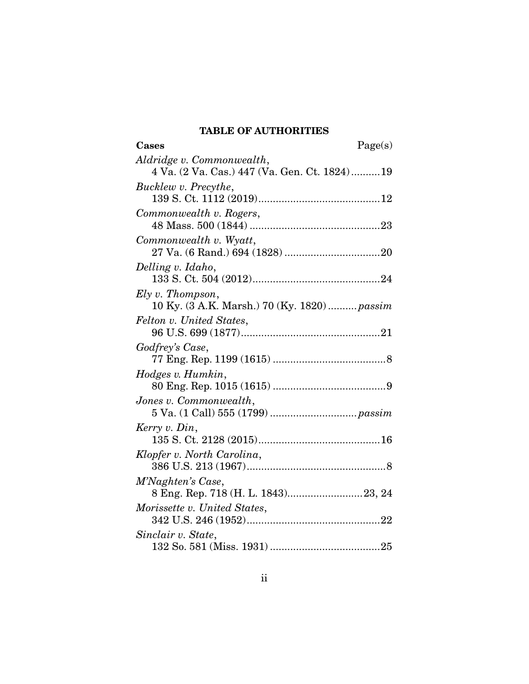# TABLE OF AUTHORITIES

| Cases                                        | Page(s) |
|----------------------------------------------|---------|
| Aldridge v. Commonwealth,                    |         |
| 4 Va. (2 Va. Cas.) 447 (Va. Gen. Ct. 1824)19 |         |
| Bucklew v. Precythe,                         |         |
|                                              |         |
| Commonwealth v. Rogers,                      |         |
|                                              |         |
| Commonwealth v. Wyatt,                       |         |
|                                              |         |
| Delling v. Idaho,                            |         |
|                                              |         |
| $Ely v.$ Thompson,                           |         |
| 10 Ky. (3 A.K. Marsh.) 70 (Ky. 1820)  passim |         |
| Felton v. United States,                     |         |
|                                              |         |
| Godfrey's Case,                              |         |
|                                              |         |
| Hodges v. Humkin,                            |         |
|                                              |         |
| Jones v. Commonwealth,                       |         |
|                                              |         |
| Kerry v. Din,                                |         |
|                                              |         |
| Klopfer v. North Carolina,                   |         |
|                                              |         |
| M'Naghten's Case,                            |         |
| 8 Eng. Rep. 718 (H. L. 1843)23, 24           |         |
| Morissette v. United States,                 |         |
|                                              |         |
| Sinclair v. State,                           |         |
|                                              |         |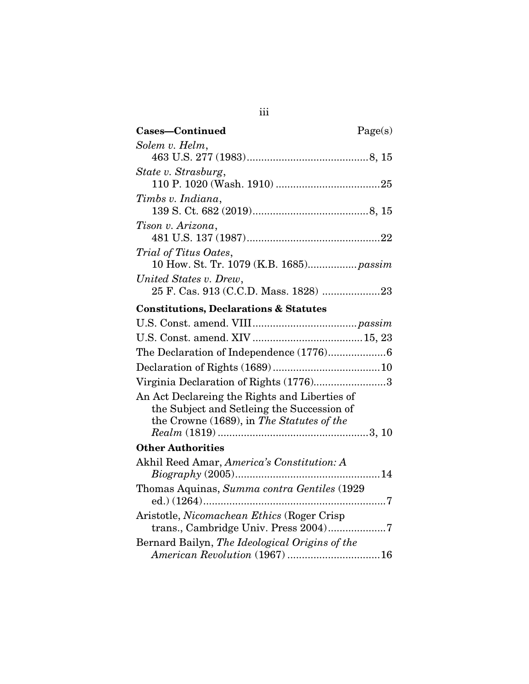| Cases-Continued                                                                                                                          | Page(s) |
|------------------------------------------------------------------------------------------------------------------------------------------|---------|
| Solem v. Helm,                                                                                                                           |         |
|                                                                                                                                          |         |
| State v. Strasburg,                                                                                                                      |         |
| Timbs v. Indiana,                                                                                                                        |         |
| Tison v. Arizona,                                                                                                                        |         |
| Trial of Titus Oates,<br>10 How. St. Tr. 1079 (K.B. 1685) passim                                                                         |         |
| United States v. Drew,                                                                                                                   |         |
| <b>Constitutions, Declarations &amp; Statutes</b>                                                                                        |         |
|                                                                                                                                          |         |
|                                                                                                                                          |         |
|                                                                                                                                          |         |
|                                                                                                                                          |         |
| Virginia Declaration of Rights (1776)3                                                                                                   |         |
| An Act Declareing the Rights and Liberties of<br>the Subject and Setleing the Succession of<br>the Crowne (1689), in The Statutes of the |         |
| <b>Other Authorities</b>                                                                                                                 |         |
| Akhil Reed Amar, America's Constitution: A                                                                                               |         |
| Thomas Aquinas, Summa contra Gentiles (1929)                                                                                             |         |
| Aristotle, Nicomachean Ethics (Roger Crisp<br>trans., Cambridge Univ. Press 2004)7                                                       |         |
| Bernard Bailyn, The Ideological Origins of the<br>American Revolution (1967) 16                                                          |         |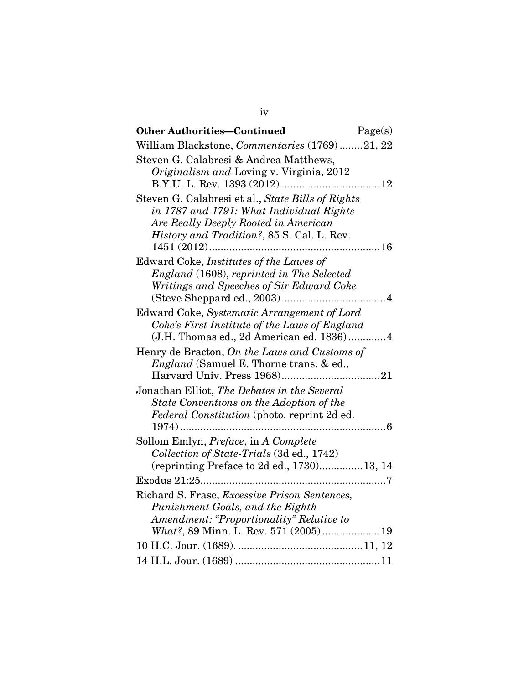| <b>Other Authorities-Continued</b>                                                                                                                                                  | Page(s) |
|-------------------------------------------------------------------------------------------------------------------------------------------------------------------------------------|---------|
| William Blackstone, Commentaries (1769)21, 22                                                                                                                                       |         |
| Steven G. Calabresi & Andrea Matthews,<br>Originalism and Loving v. Virginia, 2012                                                                                                  |         |
| Steven G. Calabresi et al., State Bills of Rights<br>in 1787 and 1791: What Individual Rights<br>Are Really Deeply Rooted in American<br>History and Tradition?, 85 S. Cal. L. Rev. | 16      |
| Edward Coke, Institutes of the Lawes of<br>England (1608), reprinted in The Selected<br>Writings and Speeches of Sir Edward Coke                                                    |         |
| Edward Coke, Systematic Arrangement of Lord<br>Coke's First Institute of the Laws of England<br>(J.H. Thomas ed., 2d American ed. 1836)4                                            |         |
| Henry de Bracton, On the Laws and Customs of<br><i>England</i> (Samuel E. Thorne trans. & ed.,                                                                                      |         |
| Jonathan Elliot, The Debates in the Several<br>State Conventions on the Adoption of the<br>Federal Constitution (photo. reprint 2d ed.                                              |         |
| Sollom Emlyn, Preface, in A Complete<br>Collection of State-Trials (3d ed., 1742)<br>(reprinting Preface to 2d ed., 1730) 13, 14                                                    |         |
|                                                                                                                                                                                     |         |
| Richard S. Frase, Excessive Prison Sentences,<br>Punishment Goals, and the Eighth<br>Amendment: "Proportionality" Relative to                                                       |         |
| What?, 89 Minn. L. Rev. 571 (2005)19                                                                                                                                                |         |
|                                                                                                                                                                                     |         |
|                                                                                                                                                                                     |         |

iv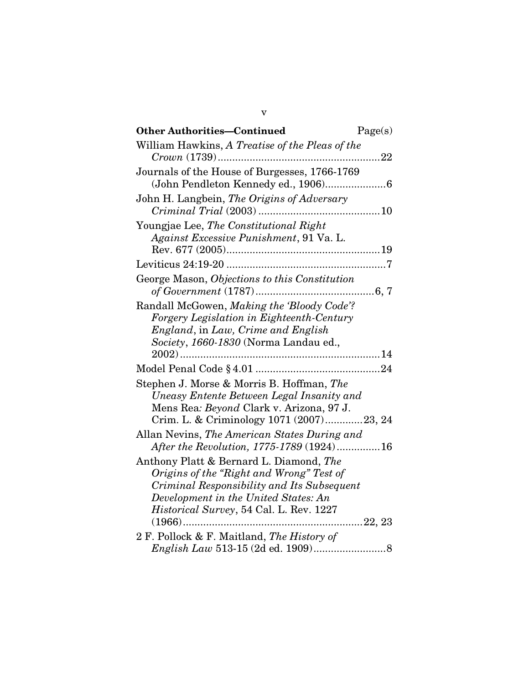| William Hawkins, A Treatise of the Pleas of the<br>$\ldots$ . 22<br>Journals of the House of Burgesses, 1766-1769<br>John H. Langbein, The Origins of Adversary<br>Youngjae Lee, The Constitutional Right                    |
|------------------------------------------------------------------------------------------------------------------------------------------------------------------------------------------------------------------------------|
|                                                                                                                                                                                                                              |
|                                                                                                                                                                                                                              |
|                                                                                                                                                                                                                              |
| Against Excessive Punishment, 91 Va. L.                                                                                                                                                                                      |
|                                                                                                                                                                                                                              |
| George Mason, Objections to this Constitution                                                                                                                                                                                |
| Randall McGowen, Making the 'Bloody Code'?<br>Forgery Legislation in Eighteenth-Century<br>England, in Law, Crime and English<br>Society, 1660-1830 (Norma Landau ed.,                                                       |
|                                                                                                                                                                                                                              |
| Stephen J. Morse & Morris B. Hoffman, The<br>Uneasy Entente Between Legal Insanity and<br>Mens Rea: Beyond Clark v. Arizona, 97 J.<br>Crim. L. & Criminology 1071 (2007)23, 24                                               |
| Allan Nevins, The American States During and<br>After the Revolution, 1775-1789 (1924)16                                                                                                                                     |
| Anthony Platt & Bernard L. Diamond, The<br>Origins of the "Right and Wrong" Test of<br>Criminal Responsibility and Its Subsequent<br>Development in the United States: An<br><i>Historical Survey</i> , 54 Cal. L. Rev. 1227 |
| 2 F. Pollock & F. Maitland, The History of                                                                                                                                                                                   |

v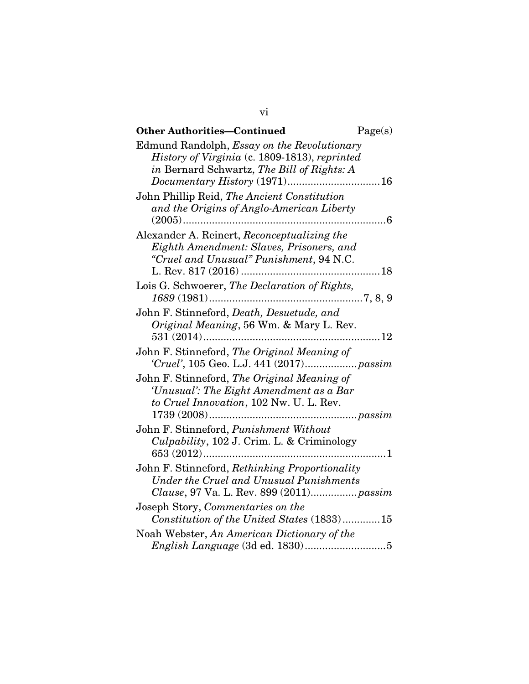| <b>Other Authorities-Continued</b>                                                                                                           | Page(s) |
|----------------------------------------------------------------------------------------------------------------------------------------------|---------|
| Edmund Randolph, Essay on the Revolutionary<br>History of Virginia (c. 1809-1813), reprinted<br>in Bernard Schwartz, The Bill of Rights: A   |         |
| John Phillip Reid, The Ancient Constitution<br>and the Origins of Anglo-American Liberty<br>$(2005)$                                         | . 6     |
| Alexander A. Reinert, Reconceptualizing the<br>Eighth Amendment: Slaves, Prisoners, and<br>"Cruel and Unusual" Punishment, 94 N.C.           |         |
| Lois G. Schwoerer, The Declaration of Rights,                                                                                                |         |
| John F. Stinneford, Death, Desuetude, and<br>Original Meaning, 56 Wm. & Mary L. Rev.                                                         | 12      |
| John F. Stinneford, The Original Meaning of                                                                                                  |         |
| John F. Stinneford, The Original Meaning of<br>'Unusual': The Eight Amendment as a Bar<br>to Cruel Innovation, 102 Nw. U. L. Rev.            |         |
| John F. Stinneford, Punishment Without<br>Culpability, 102 J. Crim. L. & Criminology                                                         | . 1     |
| John F. Stinneford, Rethinking Proportionality<br><b>Under the Cruel and Unusual Punishments</b><br>Clause, 97 Va. L. Rev. 899 (2011) passim |         |
| Joseph Story, Commentaries on the<br>Constitution of the United States (1833)15                                                              |         |
| Noah Webster, An American Dictionary of the                                                                                                  |         |

vi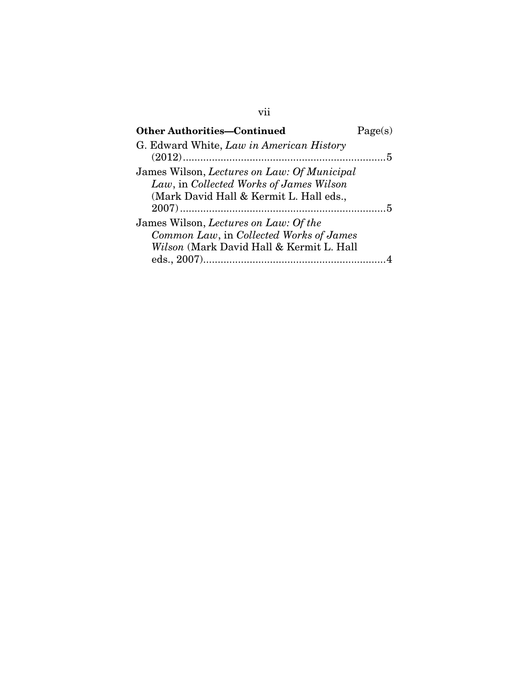| <b>Other Authorities-Continued</b>                                                                                                | Page(s) |
|-----------------------------------------------------------------------------------------------------------------------------------|---------|
| G. Edward White, Law in American History                                                                                          |         |
| James Wilson, Lectures on Law: Of Municipal<br>Law, in Collected Works of James Wilson<br>(Mark David Hall & Kermit L. Hall eds., |         |
| James Wilson, Lectures on Law: Of the<br>Common Law, in Collected Works of James<br>Wilson (Mark David Hall & Kermit L. Hall      |         |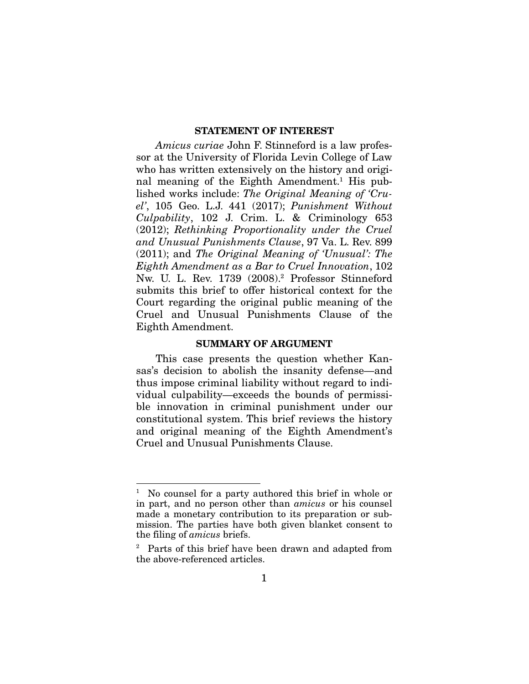#### STATEMENT OF INTEREST

*Amicus curiae* John F. Stinneford is a law professor at the University of Florida Levin College of Law who has written extensively on the history and original meaning of the Eighth Amendment.<sup>1</sup> His published works include: *The Original Meaning of 'Cruel'*, 105 Geo. L.J. 441 (2017); *Punishment Without Culpability*, 102 J. Crim. L. & Criminology 653 (2012); *Rethinking Proportionality under the Cruel and Unusual Punishments Clause*, 97 Va. L. Rev. 899 (2011); and *The Original Meaning of 'Unusual': The Eighth Amendment as a Bar to Cruel Innovation*, 102 Nw. U. L. Rev. 1739 (2008).<sup>2</sup> Professor Stinneford submits this brief to offer historical context for the Court regarding the original public meaning of the Cruel and Unusual Punishments Clause of the Eighth Amendment.

#### SUMMARY OF ARGUMENT

This case presents the question whether Kansas's decision to abolish the insanity defense—and thus impose criminal liability without regard to individual culpability—exceeds the bounds of permissible innovation in criminal punishment under our constitutional system. This brief reviews the history and original meaning of the Eighth Amendment's Cruel and Unusual Punishments Clause.

<sup>1</sup> No counsel for a party authored this brief in whole or in part, and no person other than *amicus* or his counsel made a monetary contribution to its preparation or submission. The parties have both given blanket consent to the filing of *amicus* briefs.

<sup>2</sup> Parts of this brief have been drawn and adapted from the above-referenced articles.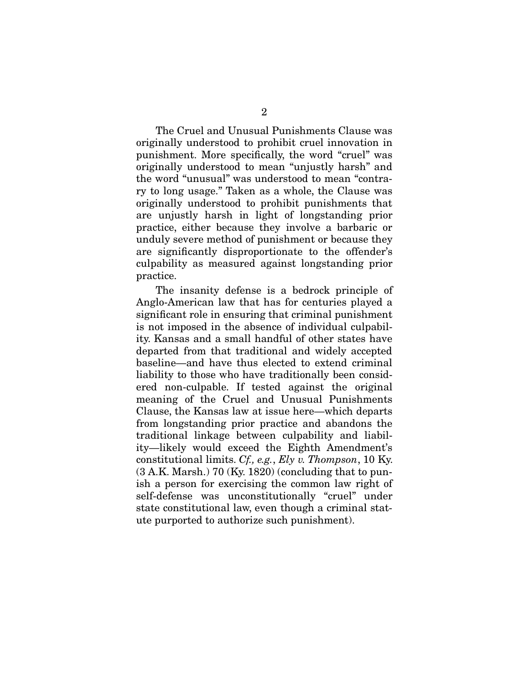The Cruel and Unusual Punishments Clause was originally understood to prohibit cruel innovation in punishment. More specifically, the word "cruel" was originally understood to mean "unjustly harsh" and the word "unusual" was understood to mean "contrary to long usage." Taken as a whole, the Clause was originally understood to prohibit punishments that are unjustly harsh in light of longstanding prior practice, either because they involve a barbaric or unduly severe method of punishment or because they are significantly disproportionate to the offender's culpability as measured against longstanding prior practice.

The insanity defense is a bedrock principle of Anglo-American law that has for centuries played a significant role in ensuring that criminal punishment is not imposed in the absence of individual culpability. Kansas and a small handful of other states have departed from that traditional and widely accepted baseline—and have thus elected to extend criminal liability to those who have traditionally been considered non-culpable. If tested against the original meaning of the Cruel and Unusual Punishments Clause, the Kansas law at issue here—which departs from longstanding prior practice and abandons the traditional linkage between culpability and liability—likely would exceed the Eighth Amendment's constitutional limits. *Cf., e.g.*, *Ely v. Thompson*, 10 Ky. (3 A.K. Marsh.) 70 (Ky. 1820) (concluding that to punish a person for exercising the common law right of self-defense was unconstitutionally "cruel" under state constitutional law, even though a criminal statute purported to authorize such punishment).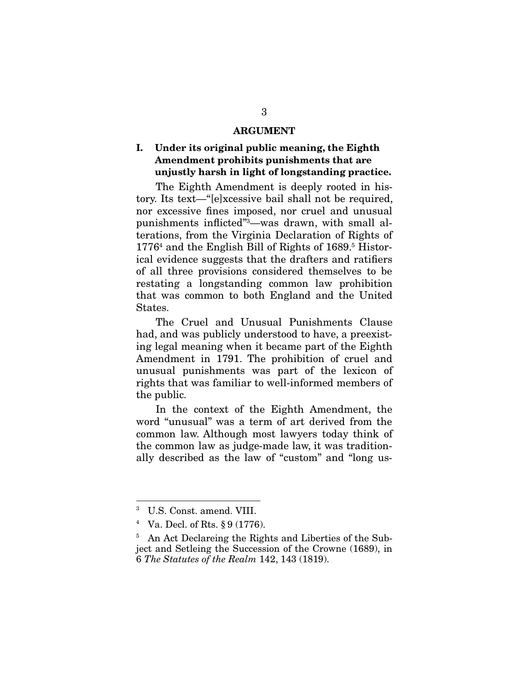#### ARGUMENT

### I. Under its original public meaning, the Eighth Amendment prohibits punishments that are unjustly harsh in light of longstanding practice.

The Eighth Amendment is deeply rooted in history. Its text—"[e]xcessive bail shall not be required, nor excessive fines imposed, nor cruel and unusual punishments inflicted"3—was drawn, with small alterations, from the Virginia Declaration of Rights of 1776<sup>4</sup> and the English Bill of Rights of 1689.<sup>5</sup> Historical evidence suggests that the drafters and ratifiers of all three provisions considered themselves to be restating a longstanding common law prohibition that was common to both England and the United States.

The Cruel and Unusual Punishments Clause had, and was publicly understood to have, a preexisting legal meaning when it became part of the Eighth Amendment in 1791. The prohibition of cruel and unusual punishments was part of the lexicon of rights that was familiar to well-informed members of the public.

In the context of the Eighth Amendment, the word "unusual" was a term of art derived from the common law. Although most lawyers today think of the common law as judge-made law, it was traditionally described as the law of "custom" and "long us-

<sup>3</sup> U.S. Const. amend. VIII.

<sup>4</sup> Va. Decl. of Rts. § 9 (1776).

<sup>5</sup> An Act Declareing the Rights and Liberties of the Subject and Setleing the Succession of the Crowne (1689), in 6 *The Statutes of the Realm* 142, 143 (1819).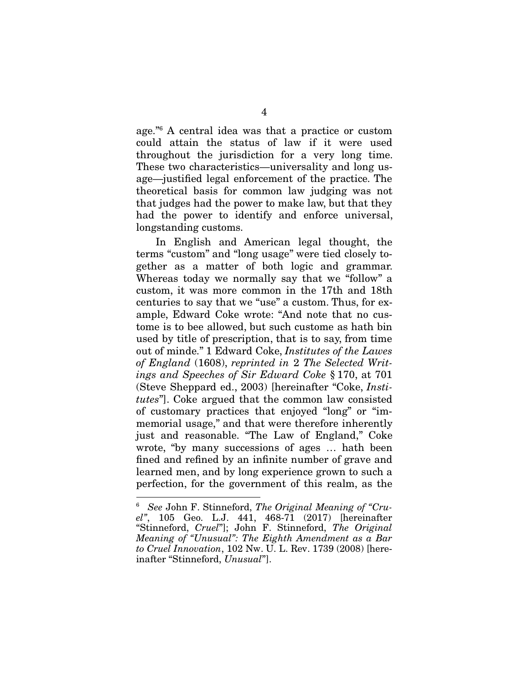age."<sup>6</sup> A central idea was that a practice or custom could attain the status of law if it were used throughout the jurisdiction for a very long time. These two characteristics—universality and long usage—justified legal enforcement of the practice. The theoretical basis for common law judging was not that judges had the power to make law, but that they had the power to identify and enforce universal, longstanding customs.

In English and American legal thought, the terms "custom" and "long usage" were tied closely together as a matter of both logic and grammar. Whereas today we normally say that we "follow" a custom, it was more common in the 17th and 18th centuries to say that we "use" a custom. Thus, for example, Edward Coke wrote: "And note that no custome is to bee allowed, but such custome as hath bin used by title of prescription, that is to say, from time out of minde." 1 Edward Coke, *Institutes of the Lawes of England* (1608), *reprinted in* 2 *The Selected Writings and Speeches of Sir Edward Coke* § 170, at 701 (Steve Sheppard ed., 2003) [hereinafter "Coke, *Institutes*"]. Coke argued that the common law consisted of customary practices that enjoyed "long" or "immemorial usage," and that were therefore inherently just and reasonable. "The Law of England," Coke wrote, "by many successions of ages … hath been fined and refined by an infinite number of grave and learned men, and by long experience grown to such a perfection, for the government of this realm, as the

I

<sup>6</sup> *See* John F. Stinneford, *The Original Meaning of "Cruel"*, 105 Geo. L.J. 441, 468-71 (2017) [hereinafter "Stinneford, *Cruel*"]; John F. Stinneford, *The Original Meaning of "Unusual": The Eighth Amendment as a Bar to Cruel Innovation*, 102 Nw. U. L. Rev. 1739 (2008) [hereinafter "Stinneford, *Unusual*"].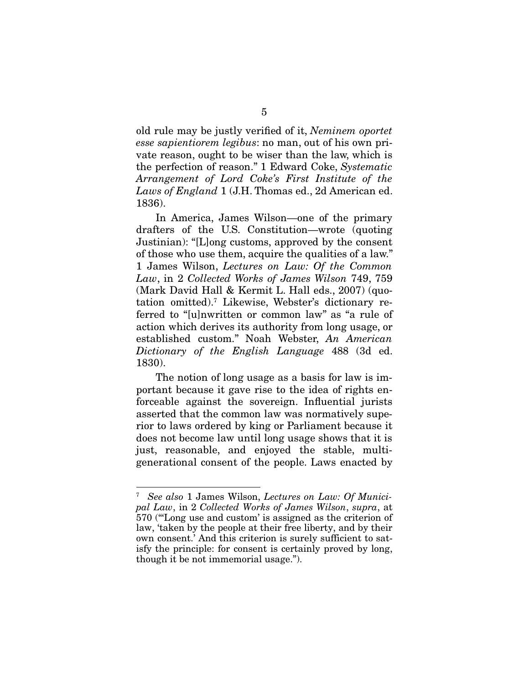old rule may be justly verified of it, *Neminem oportet esse sapientiorem legibus*: no man, out of his own private reason, ought to be wiser than the law, which is the perfection of reason." 1 Edward Coke, *Systematic Arrangement of Lord Coke's First Institute of the Laws of England* 1 (J.H. Thomas ed., 2d American ed. 1836).

In America, James Wilson—one of the primary drafters of the U.S. Constitution—wrote (quoting Justinian): "[L]ong customs, approved by the consent of those who use them, acquire the qualities of a law." 1 James Wilson, *Lectures on Law: Of the Common Law*, in 2 *Collected Works of James Wilson* 749, 759 (Mark David Hall & Kermit L. Hall eds., 2007) (quotation omitted).<sup>7</sup> Likewise, Webster's dictionary referred to "[u]nwritten or common law" as "a rule of action which derives its authority from long usage, or established custom." Noah Webster, *An American Dictionary of the English Language* 488 (3d ed. 1830).

The notion of long usage as a basis for law is important because it gave rise to the idea of rights enforceable against the sovereign. Influential jurists asserted that the common law was normatively superior to laws ordered by king or Parliament because it does not become law until long usage shows that it is just, reasonable, and enjoyed the stable, multigenerational consent of the people. Laws enacted by

<sup>7</sup> *See also* 1 James Wilson, *Lectures on Law: Of Municipal Law*, in 2 *Collected Works of James Wilson*, *supra*, at 570 ("'Long use and custom' is assigned as the criterion of law, 'taken by the people at their free liberty, and by their own consent.' And this criterion is surely sufficient to satisfy the principle: for consent is certainly proved by long, though it be not immemorial usage.").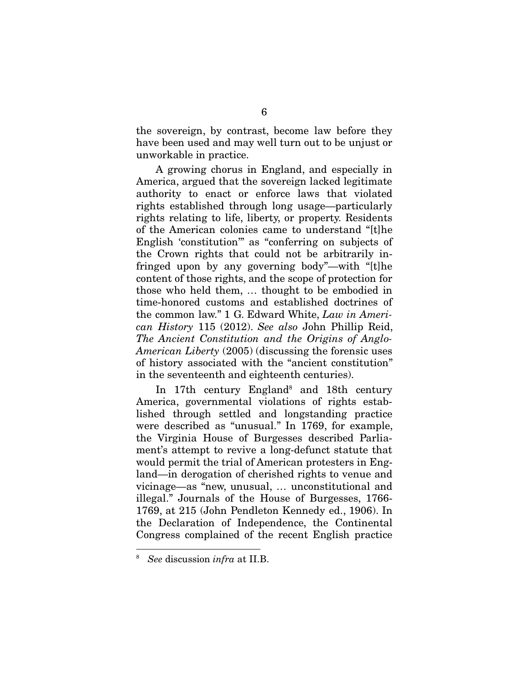the sovereign, by contrast, become law before they have been used and may well turn out to be unjust or unworkable in practice.

A growing chorus in England, and especially in America, argued that the sovereign lacked legitimate authority to enact or enforce laws that violated rights established through long usage—particularly rights relating to life, liberty, or property. Residents of the American colonies came to understand "[t]he English 'constitution'" as "conferring on subjects of the Crown rights that could not be arbitrarily infringed upon by any governing body"—with "[t]he content of those rights, and the scope of protection for those who held them, … thought to be embodied in time-honored customs and established doctrines of the common law." 1 G. Edward White, *Law in American History* 115 (2012). *See also* John Phillip Reid, *The Ancient Constitution and the Origins of Anglo-American Liberty* (2005) (discussing the forensic uses of history associated with the "ancient constitution" in the seventeenth and eighteenth centuries).

In 17th century England<sup>8</sup> and 18th century America, governmental violations of rights established through settled and longstanding practice were described as "unusual." In 1769, for example, the Virginia House of Burgesses described Parliament's attempt to revive a long-defunct statute that would permit the trial of American protesters in England—in derogation of cherished rights to venue and vicinage—as "new, unusual, … unconstitutional and illegal." Journals of the House of Burgesses, 1766- 1769, at 215 (John Pendleton Kennedy ed., 1906). In the Declaration of Independence, the Continental Congress complained of the recent English practice

<sup>8</sup> *See* discussion *infra* at II.B.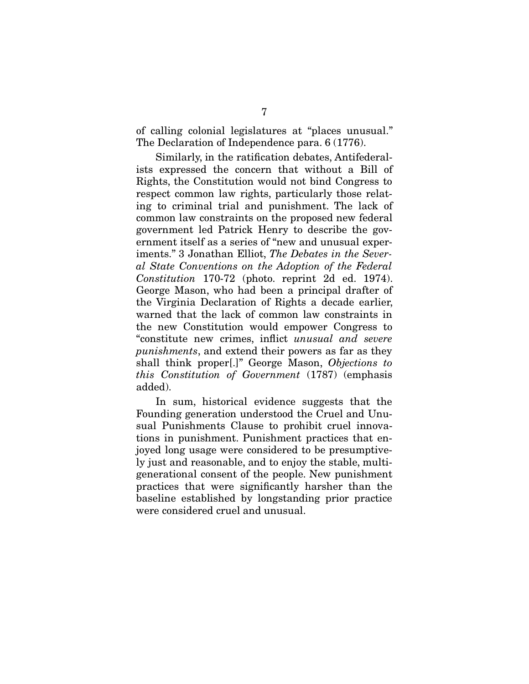of calling colonial legislatures at "places unusual." The Declaration of Independence para. 6 (1776).

Similarly, in the ratification debates, Antifederalists expressed the concern that without a Bill of Rights, the Constitution would not bind Congress to respect common law rights, particularly those relating to criminal trial and punishment. The lack of common law constraints on the proposed new federal government led Patrick Henry to describe the government itself as a series of "new and unusual experiments." 3 Jonathan Elliot, *The Debates in the Several State Conventions on the Adoption of the Federal Constitution* 170-72 (photo. reprint 2d ed. 1974). George Mason, who had been a principal drafter of the Virginia Declaration of Rights a decade earlier, warned that the lack of common law constraints in the new Constitution would empower Congress to "constitute new crimes, inflict *unusual and severe punishments*, and extend their powers as far as they shall think proper[.]" George Mason, *Objections to this Constitution of Government* (1787) (emphasis added).

In sum, historical evidence suggests that the Founding generation understood the Cruel and Unusual Punishments Clause to prohibit cruel innovations in punishment. Punishment practices that enjoyed long usage were considered to be presumptively just and reasonable, and to enjoy the stable, multigenerational consent of the people. New punishment practices that were significantly harsher than the baseline established by longstanding prior practice were considered cruel and unusual.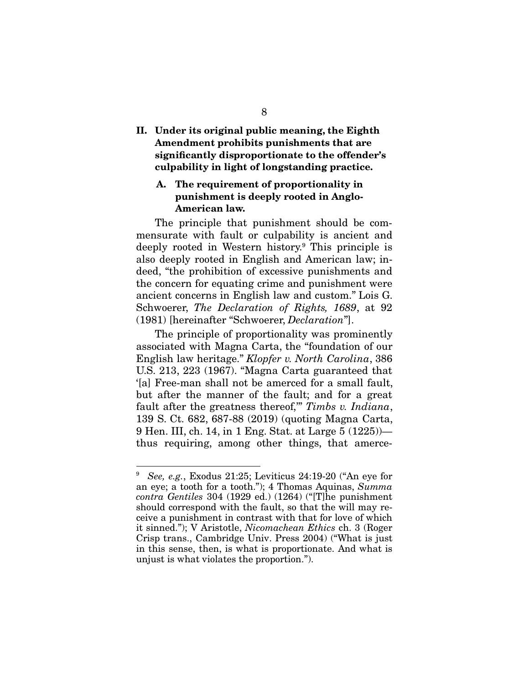II. Under its original public meaning, the Eighth Amendment prohibits punishments that are significantly disproportionate to the offender's culpability in light of longstanding practice.

### A. The requirement of proportionality in punishment is deeply rooted in Anglo-American law.

The principle that punishment should be commensurate with fault or culpability is ancient and deeply rooted in Western history.<sup>9</sup> This principle is also deeply rooted in English and American law; indeed, "the prohibition of excessive punishments and the concern for equating crime and punishment were ancient concerns in English law and custom." Lois G. Schwoerer, *The Declaration of Rights, 1689*, at 92 (1981) [hereinafter "Schwoerer, *Declaration*"].

The principle of proportionality was prominently associated with Magna Carta, the "foundation of our English law heritage." *Klopfer v. North Carolina*, 386 U.S. 213, 223 (1967). "Magna Carta guaranteed that '[a] Free-man shall not be amerced for a small fault, but after the manner of the fault; and for a great fault after the greatness thereof,'" *Timbs v. Indiana*, 139 S. Ct. 682, 687-88 (2019) (quoting Magna Carta, 9 Hen. III, ch. 14, in 1 Eng. Stat. at Large 5 (1225)) thus requiring, among other things, that amerce-

<sup>9</sup> *See, e.g.*, Exodus 21:25; Leviticus 24:19-20 ("An eye for an eye; a tooth for a tooth."); 4 Thomas Aquinas, *Summa contra Gentiles* 304 (1929 ed.) (1264) ("[T]he punishment should correspond with the fault, so that the will may receive a punishment in contrast with that for love of which it sinned."); V Aristotle, *Nicomachean Ethics* ch. 3 (Roger Crisp trans., Cambridge Univ. Press 2004) ("What is just in this sense, then, is what is proportionate. And what is unjust is what violates the proportion.").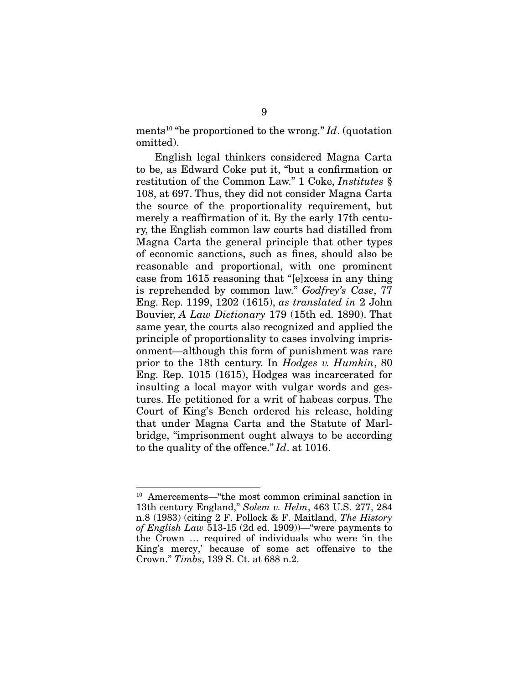ments<sup>10</sup> "be proportioned to the wrong." *Id*. (quotation omitted).

English legal thinkers considered Magna Carta to be, as Edward Coke put it, "but a confirmation or restitution of the Common Law." 1 Coke, *Institutes* § 108, at 697. Thus, they did not consider Magna Carta the source of the proportionality requirement, but merely a reaffirmation of it. By the early 17th century, the English common law courts had distilled from Magna Carta the general principle that other types of economic sanctions, such as fines, should also be reasonable and proportional, with one prominent case from 1615 reasoning that "[e]xcess in any thing is reprehended by common law." *Godfrey's Case*, 77 Eng. Rep. 1199, 1202 (1615), *as translated in* 2 John Bouvier, *A Law Dictionary* 179 (15th ed. 1890). That same year, the courts also recognized and applied the principle of proportionality to cases involving imprisonment—although this form of punishment was rare prior to the 18th century. In *Hodges v. Humkin*, 80 Eng. Rep. 1015 (1615), Hodges was incarcerated for insulting a local mayor with vulgar words and gestures. He petitioned for a writ of habeas corpus. The Court of King's Bench ordered his release, holding that under Magna Carta and the Statute of Marlbridge, "imprisonment ought always to be according to the quality of the offence." *Id*. at 1016.

<sup>10</sup> Amercements—"the most common criminal sanction in 13th century England," *Solem v. Helm*, 463 U.S. 277, 284 n.8 (1983) (citing 2 F. Pollock & F. Maitland, *The History of English Law* 513-15 (2d ed. 1909))—"were payments to the Crown … required of individuals who were 'in the King's mercy,' because of some act offensive to the Crown." *Timbs*, 139 S. Ct. at 688 n.2.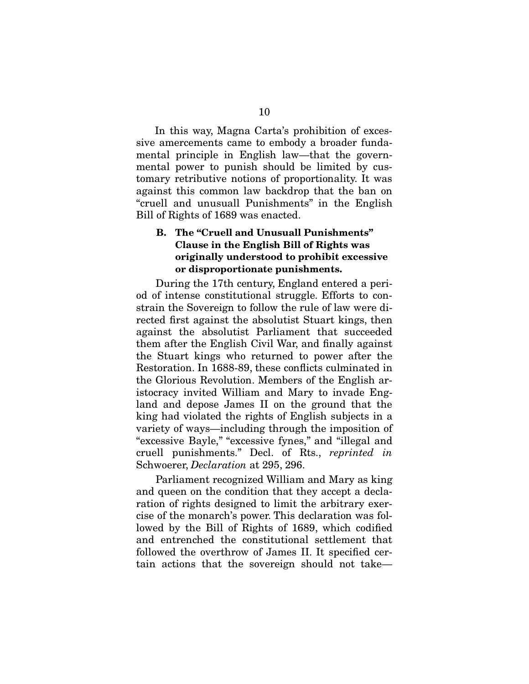In this way, Magna Carta's prohibition of excessive amercements came to embody a broader fundamental principle in English law—that the governmental power to punish should be limited by customary retributive notions of proportionality. It was against this common law backdrop that the ban on "cruell and unusuall Punishments" in the English Bill of Rights of 1689 was enacted.

### B. The "Cruell and Unusuall Punishments" Clause in the English Bill of Rights was originally understood to prohibit excessive or disproportionate punishments.

During the 17th century, England entered a period of intense constitutional struggle. Efforts to constrain the Sovereign to follow the rule of law were directed first against the absolutist Stuart kings, then against the absolutist Parliament that succeeded them after the English Civil War, and finally against the Stuart kings who returned to power after the Restoration. In 1688-89, these conflicts culminated in the Glorious Revolution. Members of the English aristocracy invited William and Mary to invade England and depose James II on the ground that the king had violated the rights of English subjects in a variety of ways—including through the imposition of "excessive Bayle," "excessive fynes," and "illegal and cruell punishments." Decl. of Rts., *reprinted in* Schwoerer, *Declaration* at 295, 296.

Parliament recognized William and Mary as king and queen on the condition that they accept a declaration of rights designed to limit the arbitrary exercise of the monarch's power. This declaration was followed by the Bill of Rights of 1689, which codified and entrenched the constitutional settlement that followed the overthrow of James II. It specified certain actions that the sovereign should not take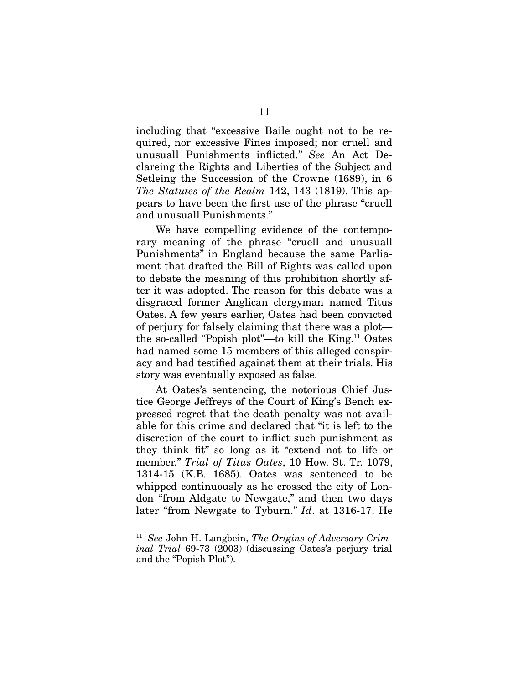including that "excessive Baile ought not to be required, nor excessive Fines imposed; nor cruell and unusuall Punishments inflicted." *See* An Act Declareing the Rights and Liberties of the Subject and Setleing the Succession of the Crowne (1689), in 6 *The Statutes of the Realm* 142, 143 (1819). This appears to have been the first use of the phrase "cruell and unusuall Punishments."

We have compelling evidence of the contemporary meaning of the phrase "cruell and unusuall Punishments" in England because the same Parliament that drafted the Bill of Rights was called upon to debate the meaning of this prohibition shortly after it was adopted. The reason for this debate was a disgraced former Anglican clergyman named Titus Oates. A few years earlier, Oates had been convicted of perjury for falsely claiming that there was a plot the so-called "Popish plot"—to kill the King.<sup>11</sup> Oates had named some 15 members of this alleged conspiracy and had testified against them at their trials. His story was eventually exposed as false.

At Oates's sentencing, the notorious Chief Justice George Jeffreys of the Court of King's Bench expressed regret that the death penalty was not available for this crime and declared that "it is left to the discretion of the court to inflict such punishment as they think fit" so long as it "extend not to life or member." *Trial of Titus Oates*, 10 How. St. Tr. 1079, 1314-15 (K.B. 1685). Oates was sentenced to be whipped continuously as he crossed the city of London "from Aldgate to Newgate," and then two days later "from Newgate to Tyburn." *Id*. at 1316-17. He

<sup>11</sup> *See* John H. Langbein, *The Origins of Adversary Criminal Trial* 69-73 (2003) (discussing Oates's perjury trial and the "Popish Plot").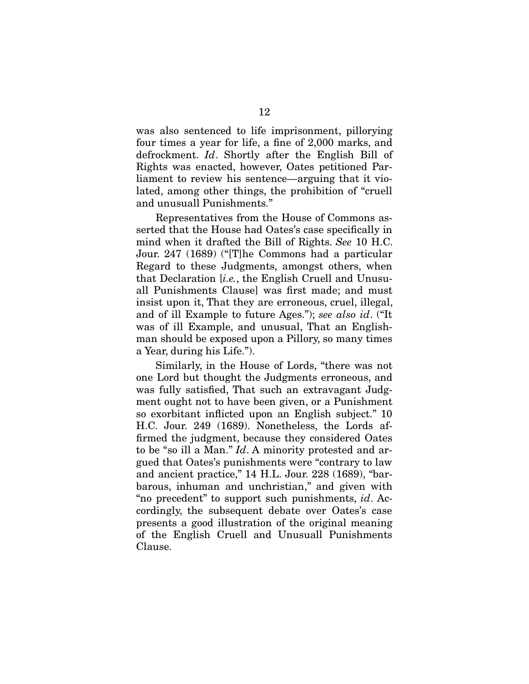was also sentenced to life imprisonment, pillorying four times a year for life, a fine of 2,000 marks, and defrockment. *Id*. Shortly after the English Bill of Rights was enacted, however, Oates petitioned Parliament to review his sentence—arguing that it violated, among other things, the prohibition of "cruell and unusuall Punishments."

Representatives from the House of Commons asserted that the House had Oates's case specifically in mind when it drafted the Bill of Rights. *See* 10 H.C. Jour. 247 (1689) ("[T]he Commons had a particular Regard to these Judgments, amongst others, when that Declaration [*i.e.*, the English Cruell and Unusuall Punishments Clause] was first made; and must insist upon it, That they are erroneous, cruel, illegal, and of ill Example to future Ages."); *see also id*. ("It was of ill Example, and unusual, That an Englishman should be exposed upon a Pillory, so many times a Year, during his Life.").

Similarly, in the House of Lords, "there was not one Lord but thought the Judgments erroneous, and was fully satisfied, That such an extravagant Judgment ought not to have been given, or a Punishment so exorbitant inflicted upon an English subject." 10 H.C. Jour. 249 (1689). Nonetheless, the Lords affirmed the judgment, because they considered Oates to be "so ill a Man." *Id*. A minority protested and argued that Oates's punishments were "contrary to law and ancient practice," 14 H.L. Jour. 228 (1689), "barbarous, inhuman and unchristian," and given with "no precedent" to support such punishments, *id*. Accordingly, the subsequent debate over Oates's case presents a good illustration of the original meaning of the English Cruell and Unusuall Punishments Clause.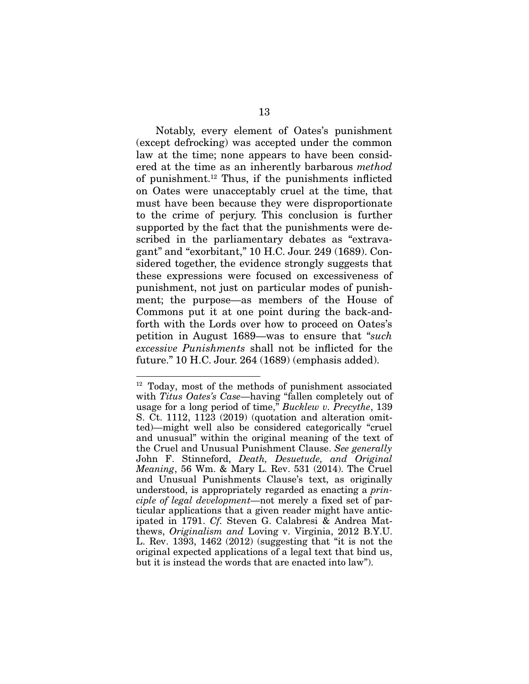Notably, every element of Oates's punishment (except defrocking) was accepted under the common law at the time; none appears to have been considered at the time as an inherently barbarous *method* of punishment.<sup>12</sup> Thus, if the punishments inflicted on Oates were unacceptably cruel at the time, that must have been because they were disproportionate to the crime of perjury. This conclusion is further supported by the fact that the punishments were described in the parliamentary debates as "extravagant" and "exorbitant," 10 H.C. Jour. 249 (1689). Considered together, the evidence strongly suggests that these expressions were focused on excessiveness of punishment, not just on particular modes of punishment; the purpose—as members of the House of Commons put it at one point during the back-andforth with the Lords over how to proceed on Oates's petition in August 1689—was to ensure that "*such excessive Punishments* shall not be inflicted for the future." 10 H.C. Jour. 264 (1689) (emphasis added).

 $12$  Today, most of the methods of punishment associated with *Titus Oates's Case*—having "fallen completely out of usage for a long period of time," *Bucklew v. Precythe*, 139 S. Ct. 1112, 1123 (2019) (quotation and alteration omitted)—might well also be considered categorically "cruel and unusual" within the original meaning of the text of the Cruel and Unusual Punishment Clause. *See generally* John F. Stinneford, *Death, Desuetude, and Original Meaning*, 56 Wm. & Mary L. Rev. 531 (2014). The Cruel and Unusual Punishments Clause's text, as originally understood, is appropriately regarded as enacting a *principle of legal development—*not merely a fixed set of particular applications that a given reader might have anticipated in 1791. *Cf.* Steven G. Calabresi & Andrea Matthews, *Originalism and* Loving v. Virginia, 2012 B.Y.U. L. Rev. 1393, 1462 (2012) (suggesting that "it is not the original expected applications of a legal text that bind us, but it is instead the words that are enacted into law").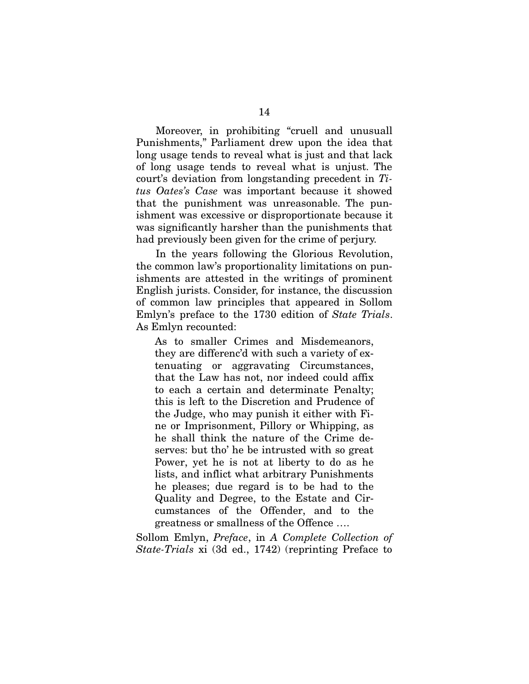Moreover, in prohibiting "cruell and unusuall Punishments," Parliament drew upon the idea that long usage tends to reveal what is just and that lack of long usage tends to reveal what is unjust. The court's deviation from longstanding precedent in *Titus Oates's Case* was important because it showed that the punishment was unreasonable. The punishment was excessive or disproportionate because it was significantly harsher than the punishments that had previously been given for the crime of perjury.

In the years following the Glorious Revolution, the common law's proportionality limitations on punishments are attested in the writings of prominent English jurists. Consider, for instance, the discussion of common law principles that appeared in Sollom Emlyn's preface to the 1730 edition of *State Trials*. As Emlyn recounted:

As to smaller Crimes and Misdemeanors, they are differenc'd with such a variety of extenuating or aggravating Circumstances, that the Law has not, nor indeed could affix to each a certain and determinate Penalty; this is left to the Discretion and Prudence of the Judge, who may punish it either with Fine or Imprisonment, Pillory or Whipping, as he shall think the nature of the Crime deserves: but tho' he be intrusted with so great Power, yet he is not at liberty to do as he lists, and inflict what arbitrary Punishments he pleases; due regard is to be had to the Quality and Degree, to the Estate and Circumstances of the Offender, and to the greatness or smallness of the Offence ….

Sollom Emlyn, *Preface*, in *A Complete Collection of State-Trials* xi (3d ed., 1742) (reprinting Preface to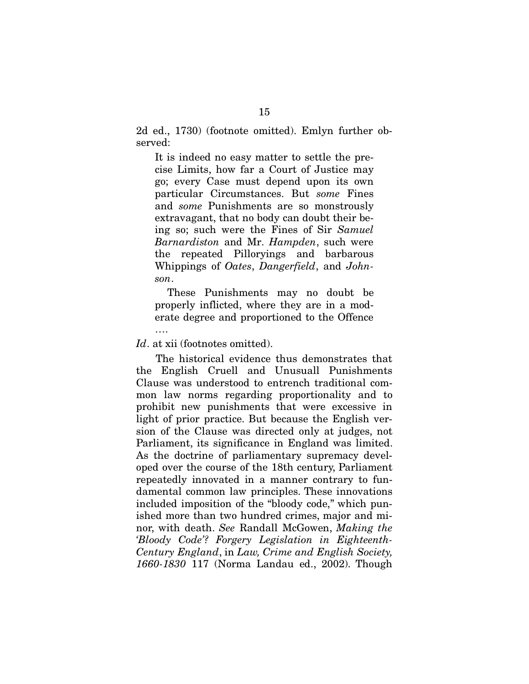2d ed., 1730) (footnote omitted). Emlyn further observed:

It is indeed no easy matter to settle the precise Limits, how far a Court of Justice may go; every Case must depend upon its own particular Circumstances. But *some* Fines and *some* Punishments are so monstrously extravagant, that no body can doubt their being so; such were the Fines of Sir *Samuel Barnardiston* and Mr. *Hampden*, such were the repeated Pilloryings and barbarous Whippings of *Oates*, *Dangerfield*, and *Johnson*.

These Punishments may no doubt be properly inflicted, where they are in a moderate degree and proportioned to the Offence

Id. at xii (footnotes omitted).

….

The historical evidence thus demonstrates that the English Cruell and Unusuall Punishments Clause was understood to entrench traditional common law norms regarding proportionality and to prohibit new punishments that were excessive in light of prior practice. But because the English version of the Clause was directed only at judges, not Parliament, its significance in England was limited. As the doctrine of parliamentary supremacy developed over the course of the 18th century, Parliament repeatedly innovated in a manner contrary to fundamental common law principles. These innovations included imposition of the "bloody code," which punished more than two hundred crimes, major and minor, with death. *See* Randall McGowen, *Making the 'Bloody Code'? Forgery Legislation in Eighteenth-Century England*, in *Law, Crime and English Society, 1660-1830* 117 (Norma Landau ed., 2002). Though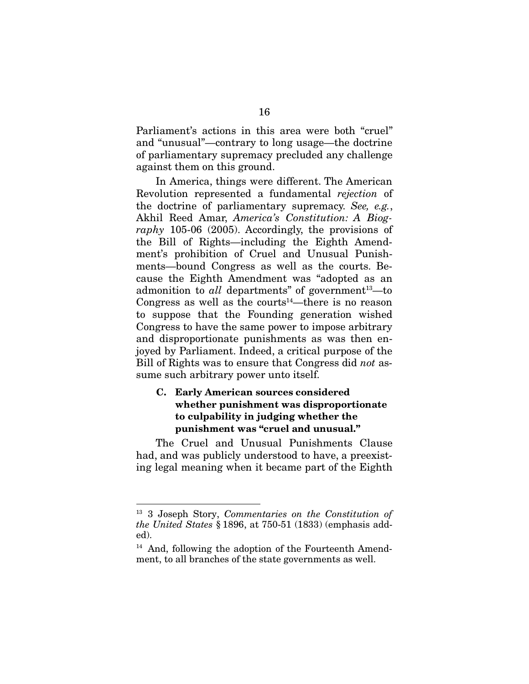Parliament's actions in this area were both "cruel" and "unusual"—contrary to long usage—the doctrine of parliamentary supremacy precluded any challenge against them on this ground.

In America, things were different. The American Revolution represented a fundamental *rejection* of the doctrine of parliamentary supremacy. *See, e.g.*, Akhil Reed Amar, *America's Constitution: A Biography* 105-06 (2005). Accordingly, the provisions of the Bill of Rights—including the Eighth Amendment's prohibition of Cruel and Unusual Punishments—bound Congress as well as the courts. Because the Eighth Amendment was "adopted as an admonition to *all* departments" of government<sup>13</sup>—to Congress as well as the courts<sup>14</sup>—there is no reason to suppose that the Founding generation wished Congress to have the same power to impose arbitrary and disproportionate punishments as was then enjoyed by Parliament. Indeed, a critical purpose of the Bill of Rights was to ensure that Congress did *not* assume such arbitrary power unto itself.

### C. Early American sources considered whether punishment was disproportionate to culpability in judging whether the punishment was "cruel and unusual."

The Cruel and Unusual Punishments Clause had, and was publicly understood to have, a preexisting legal meaning when it became part of the Eighth

<sup>13</sup> 3 Joseph Story, *Commentaries on the Constitution of the United States* § 1896, at 750-51 (1833) (emphasis added).

<sup>14</sup> And, following the adoption of the Fourteenth Amendment, to all branches of the state governments as well.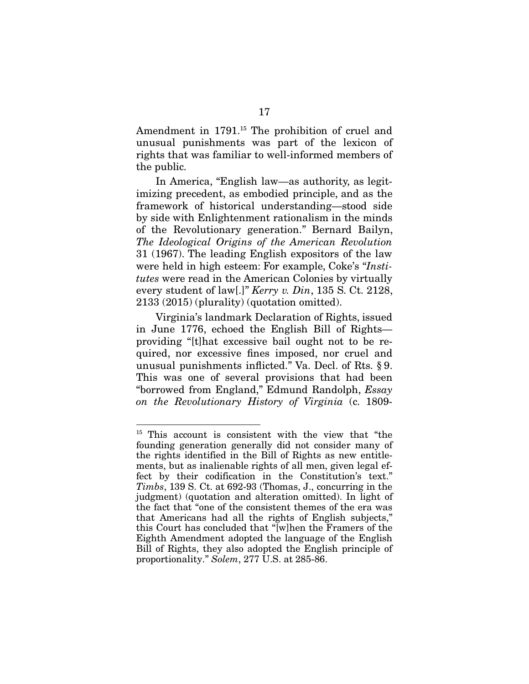Amendment in 1791.<sup>15</sup> The prohibition of cruel and unusual punishments was part of the lexicon of rights that was familiar to well-informed members of the public.

In America, "English law—as authority, as legitimizing precedent, as embodied principle, and as the framework of historical understanding—stood side by side with Enlightenment rationalism in the minds of the Revolutionary generation." Bernard Bailyn, *The Ideological Origins of the American Revolution* 31 (1967). The leading English expositors of the law were held in high esteem: For example, Coke's "*Institutes* were read in the American Colonies by virtually every student of law[.]" *Kerry v. Din*, 135 S. Ct. 2128, 2133 (2015) (plurality) (quotation omitted).

Virginia's landmark Declaration of Rights, issued in June 1776, echoed the English Bill of Rights providing "[t]hat excessive bail ought not to be required, nor excessive fines imposed, nor cruel and unusual punishments inflicted." Va. Decl. of Rts. § 9. This was one of several provisions that had been "borrowed from England," Edmund Randolph, *Essay on the Revolutionary History of Virginia* (c. 1809-

<sup>&</sup>lt;sup>15</sup> This account is consistent with the view that "the founding generation generally did not consider many of the rights identified in the Bill of Rights as new entitlements, but as inalienable rights of all men, given legal effect by their codification in the Constitution's text." *Timbs*, 139 S. Ct. at 692-93 (Thomas, J., concurring in the judgment) (quotation and alteration omitted). In light of the fact that "one of the consistent themes of the era was that Americans had all the rights of English subjects," this Court has concluded that "[w]hen the Framers of the Eighth Amendment adopted the language of the English Bill of Rights, they also adopted the English principle of proportionality." *Solem*, 277 U.S. at 285-86.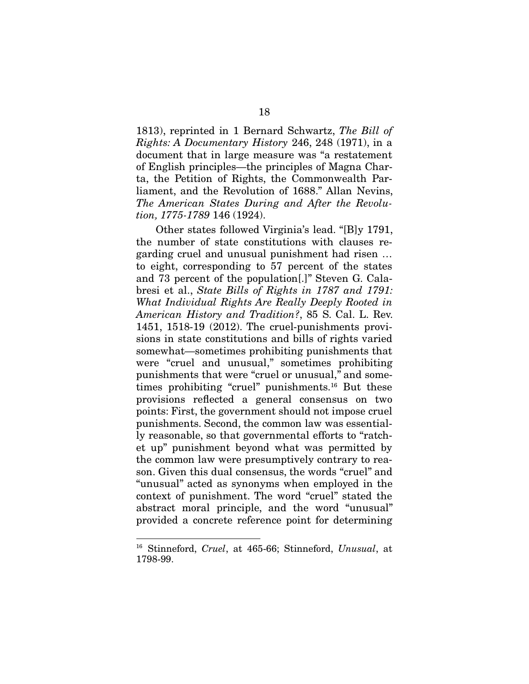1813), reprinted in 1 Bernard Schwartz, *The Bill of Rights: A Documentary History* 246, 248 (1971), in a document that in large measure was "a restatement of English principles—the principles of Magna Charta, the Petition of Rights, the Commonwealth Parliament, and the Revolution of 1688." Allan Nevins, *The American States During and After the Revolution, 1775-1789* 146 (1924).

Other states followed Virginia's lead. "[B]y 1791, the number of state constitutions with clauses regarding cruel and unusual punishment had risen … to eight, corresponding to 57 percent of the states and 73 percent of the population[.]" Steven G. Calabresi et al., *State Bills of Rights in 1787 and 1791: What Individual Rights Are Really Deeply Rooted in American History and Tradition?*, 85 S. Cal. L. Rev. 1451, 1518-19 (2012). The cruel-punishments provisions in state constitutions and bills of rights varied somewhat—sometimes prohibiting punishments that were "cruel and unusual," sometimes prohibiting punishments that were "cruel or unusual," and sometimes prohibiting "cruel" punishments.<sup>16</sup> But these provisions reflected a general consensus on two points: First, the government should not impose cruel punishments. Second, the common law was essentially reasonable, so that governmental efforts to "ratchet up" punishment beyond what was permitted by the common law were presumptively contrary to reason. Given this dual consensus, the words "cruel" and "unusual" acted as synonyms when employed in the context of punishment. The word "cruel" stated the abstract moral principle, and the word "unusual" provided a concrete reference point for determining

<sup>16</sup> Stinneford, *Cruel*, at 465-66; Stinneford, *Unusual*, at 1798-99.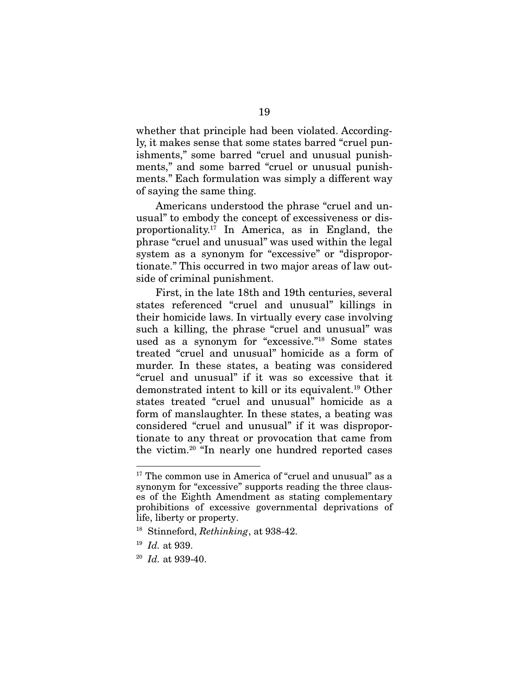whether that principle had been violated. Accordingly, it makes sense that some states barred "cruel punishments," some barred "cruel and unusual punishments," and some barred "cruel or unusual punishments." Each formulation was simply a different way of saying the same thing.

Americans understood the phrase "cruel and unusual" to embody the concept of excessiveness or disproportionality.<sup>17</sup> In America, as in England, the phrase "cruel and unusual" was used within the legal system as a synonym for "excessive" or "disproportionate." This occurred in two major areas of law outside of criminal punishment.

First, in the late 18th and 19th centuries, several states referenced "cruel and unusual" killings in their homicide laws. In virtually every case involving such a killing, the phrase "cruel and unusual" was used as a synonym for "excessive."<sup>18</sup> Some states treated "cruel and unusual" homicide as a form of murder. In these states, a beating was considered "cruel and unusual" if it was so excessive that it demonstrated intent to kill or its equivalent.<sup>19</sup> Other states treated "cruel and unusual" homicide as a form of manslaughter. In these states, a beating was considered "cruel and unusual" if it was disproportionate to any threat or provocation that came from the victim.<sup>20</sup> "In nearly one hundred reported cases

<sup>&</sup>lt;sup>17</sup> The common use in America of "cruel and unusual" as a synonym for "excessive" supports reading the three clauses of the Eighth Amendment as stating complementary prohibitions of excessive governmental deprivations of life, liberty or property.

<sup>18</sup> Stinneford, *Rethinking*, at 938-42.

<sup>19</sup> *Id.* at 939.

<sup>20</sup> *Id.* at 939-40.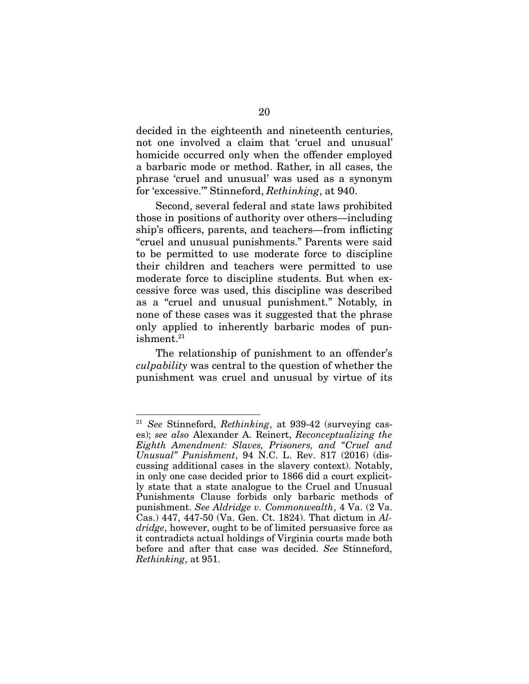decided in the eighteenth and nineteenth centuries, not one involved a claim that 'cruel and unusual' homicide occurred only when the offender employed a barbaric mode or method. Rather, in all cases, the phrase 'cruel and unusual' was used as a synonym for 'excessive.'" Stinneford, *Rethinking*, at 940.

Second, several federal and state laws prohibited those in positions of authority over others—including ship's officers, parents, and teachers—from inflicting "cruel and unusual punishments." Parents were said to be permitted to use moderate force to discipline their children and teachers were permitted to use moderate force to discipline students. But when excessive force was used, this discipline was described as a "cruel and unusual punishment." Notably, in none of these cases was it suggested that the phrase only applied to inherently barbaric modes of punishment.<sup>21</sup>

The relationship of punishment to an offender's *culpability* was central to the question of whether the punishment was cruel and unusual by virtue of its

<sup>21</sup> *See* Stinneford, *Rethinking*, at 939-42 (surveying cases); *see also* Alexander A. Reinert, *Reconceptualizing the Eighth Amendment: Slaves, Prisoners, and "Cruel and Unusual" Punishment*, 94 N.C. L. Rev. 817 (2016) (discussing additional cases in the slavery context). Notably, in only one case decided prior to 1866 did a court explicitly state that a state analogue to the Cruel and Unusual Punishments Clause forbids only barbaric methods of punishment. *See Aldridge v. Commonwealth*, 4 Va. (2 Va. Cas.) 447, 447-50 (Va. Gen. Ct. 1824). That dictum in *Aldridge*, however, ought to be of limited persuasive force as it contradicts actual holdings of Virginia courts made both before and after that case was decided. *See* Stinneford, *Rethinking*, at 951.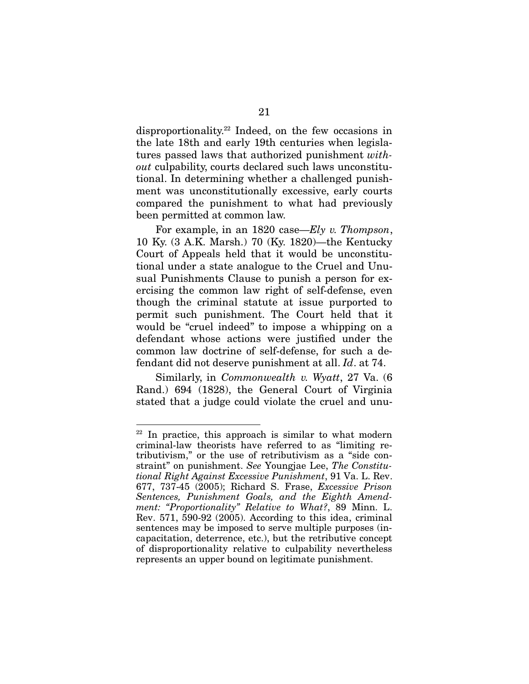disproportionality.<sup>22</sup> Indeed, on the few occasions in the late 18th and early 19th centuries when legislatures passed laws that authorized punishment *without* culpability, courts declared such laws unconstitutional. In determining whether a challenged punishment was unconstitutionally excessive, early courts compared the punishment to what had previously been permitted at common law.

For example, in an 1820 case—*Ely v. Thompson*, 10 Ky. (3 A.K. Marsh.) 70 (Ky. 1820)—the Kentucky Court of Appeals held that it would be unconstitutional under a state analogue to the Cruel and Unusual Punishments Clause to punish a person for exercising the common law right of self-defense, even though the criminal statute at issue purported to permit such punishment. The Court held that it would be "cruel indeed" to impose a whipping on a defendant whose actions were justified under the common law doctrine of self-defense, for such a defendant did not deserve punishment at all. *Id*. at 74.

Similarly, in *Commonwealth v. Wyatt*, 27 Va. (6 Rand.) 694 (1828), the General Court of Virginia stated that a judge could violate the cruel and unu-

 $22$  In practice, this approach is similar to what modern criminal-law theorists have referred to as "limiting retributivism," or the use of retributivism as a "side constraint" on punishment. *See* Youngjae Lee, *The Constitutional Right Against Excessive Punishment*, 91 Va. L. Rev. 677, 737-45 (2005); Richard S. Frase, *Excessive Prison Sentences, Punishment Goals, and the Eighth Amendment: "Proportionality" Relative to What?*, 89 Minn. L. Rev. 571, 590-92 (2005). According to this idea, criminal sentences may be imposed to serve multiple purposes (incapacitation, deterrence, etc.), but the retributive concept of disproportionality relative to culpability nevertheless represents an upper bound on legitimate punishment.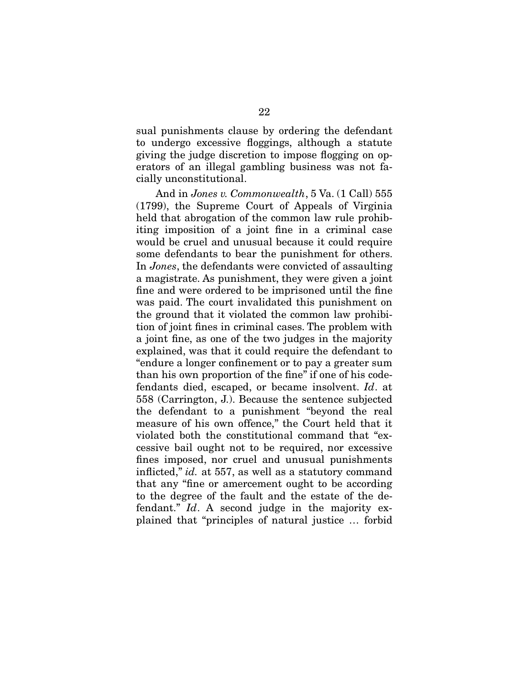sual punishments clause by ordering the defendant to undergo excessive floggings, although a statute giving the judge discretion to impose flogging on operators of an illegal gambling business was not facially unconstitutional.

And in *Jones v. Commonwealth*, 5 Va. (1 Call) 555 (1799), the Supreme Court of Appeals of Virginia held that abrogation of the common law rule prohibiting imposition of a joint fine in a criminal case would be cruel and unusual because it could require some defendants to bear the punishment for others. In *Jones*, the defendants were convicted of assaulting a magistrate. As punishment, they were given a joint fine and were ordered to be imprisoned until the fine was paid. The court invalidated this punishment on the ground that it violated the common law prohibition of joint fines in criminal cases. The problem with a joint fine, as one of the two judges in the majority explained, was that it could require the defendant to "endure a longer confinement or to pay a greater sum than his own proportion of the fine" if one of his codefendants died, escaped, or became insolvent. *Id*. at 558 (Carrington, J.). Because the sentence subjected the defendant to a punishment "beyond the real measure of his own offence," the Court held that it violated both the constitutional command that "excessive bail ought not to be required, nor excessive fines imposed, nor cruel and unusual punishments inflicted," *id.* at 557, as well as a statutory command that any "fine or amercement ought to be according to the degree of the fault and the estate of the defendant." *Id*. A second judge in the majority explained that "principles of natural justice … forbid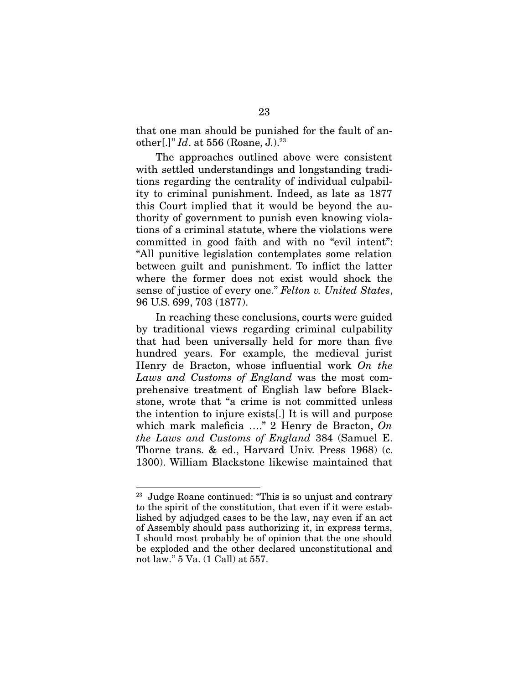that one man should be punished for the fault of another[.]" *Id*. at 556 (Roane, J.).<sup>23</sup>

The approaches outlined above were consistent with settled understandings and longstanding traditions regarding the centrality of individual culpability to criminal punishment. Indeed, as late as 1877 this Court implied that it would be beyond the authority of government to punish even knowing violations of a criminal statute, where the violations were committed in good faith and with no "evil intent": "All punitive legislation contemplates some relation between guilt and punishment. To inflict the latter where the former does not exist would shock the sense of justice of every one." *Felton v. United States*, 96 U.S. 699, 703 (1877).

In reaching these conclusions, courts were guided by traditional views regarding criminal culpability that had been universally held for more than five hundred years. For example, the medieval jurist Henry de Bracton, whose influential work *On the Laws and Customs of England* was the most comprehensive treatment of English law before Blackstone, wrote that "a crime is not committed unless the intention to injure exists[.] It is will and purpose which mark maleficia …." 2 Henry de Bracton, *On the Laws and Customs of England* 384 (Samuel E. Thorne trans. & ed., Harvard Univ. Press 1968) (c. 1300). William Blackstone likewise maintained that

<sup>23</sup> Judge Roane continued: "This is so unjust and contrary to the spirit of the constitution, that even if it were established by adjudged cases to be the law, nay even if an act of Assembly should pass authorizing it, in express terms, I should most probably be of opinion that the one should be exploded and the other declared unconstitutional and not law." 5 Va. (1 Call) at 557.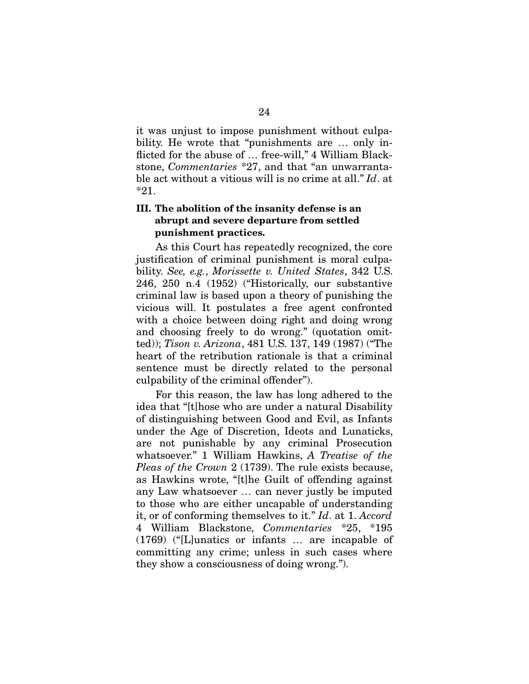it was unjust to impose punishment without culpability. He wrote that "punishments are … only inflicted for the abuse of ... free-will," 4 William Blackstone, *Commentaries* \*27, and that "an unwarrantable act without a vitious will is no crime at all." *Id*. at \*21.

#### III. The abolition of the insanity defense is an abrupt and severe departure from settled punishment practices.

As this Court has repeatedly recognized, the core justification of criminal punishment is moral culpability. *See, e.g.*, *Morissette v. United States*, 342 U.S. 246, 250 n.4 (1952) ("Historically, our substantive criminal law is based upon a theory of punishing the vicious will. It postulates a free agent confronted with a choice between doing right and doing wrong and choosing freely to do wrong." (quotation omitted)); *Tison v. Arizona*, 481 U.S. 137, 149 (1987) ("The heart of the retribution rationale is that a criminal sentence must be directly related to the personal culpability of the criminal offender").

For this reason, the law has long adhered to the idea that "[t]hose who are under a natural Disability of distinguishing between Good and Evil, as Infants under the Age of Discretion, Ideots and Lunaticks, are not punishable by any criminal Prosecution whatsoever." 1 William Hawkins, *A Treatise of the Pleas of the Crown* 2 (1739). The rule exists because, as Hawkins wrote, "[t]he Guilt of offending against any Law whatsoever … can never justly be imputed to those who are either uncapable of understanding it, or of conforming themselves to it." *Id*. at 1. *Accord* 4 William Blackstone, *Commentaries* \*25, \*195 (1769) ("[L]unatics or infants … are incapable of committing any crime; unless in such cases where they show a consciousness of doing wrong.").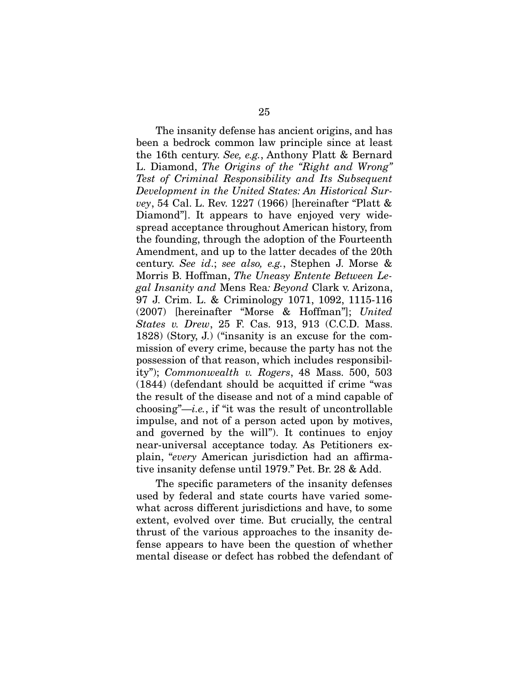The insanity defense has ancient origins, and has been a bedrock common law principle since at least the 16th century. *See, e.g.*, Anthony Platt & Bernard L. Diamond, *The Origins of the "Right and Wrong" Test of Criminal Responsibility and Its Subsequent Development in the United States: An Historical Survey*, 54 Cal. L. Rev. 1227 (1966) [hereinafter "Platt & Diamond"]. It appears to have enjoyed very widespread acceptance throughout American history, from the founding, through the adoption of the Fourteenth Amendment, and up to the latter decades of the 20th century. *See id*.; *see also, e.g.*, Stephen J. Morse & Morris B. Hoffman, *The Uneasy Entente Between Legal Insanity and* Mens Rea*: Beyond* Clark v. Arizona, 97 J. Crim. L. & Criminology 1071, 1092, 1115-116 (2007) [hereinafter "Morse & Hoffman"]; *United States v. Drew*, 25 F. Cas. 913, 913 (C.C.D. Mass. 1828) (Story, J.) ("insanity is an excuse for the commission of every crime, because the party has not the possession of that reason, which includes responsibility"); *Commonwealth v. Rogers*, 48 Mass. 500, 503 (1844) (defendant should be acquitted if crime "was the result of the disease and not of a mind capable of choosing"—*i.e.*, if "it was the result of uncontrollable impulse, and not of a person acted upon by motives, and governed by the will"). It continues to enjoy near-universal acceptance today. As Petitioners explain, "*every* American jurisdiction had an affirmative insanity defense until 1979." Pet. Br. 28 & Add.

The specific parameters of the insanity defenses used by federal and state courts have varied somewhat across different jurisdictions and have, to some extent, evolved over time. But crucially, the central thrust of the various approaches to the insanity defense appears to have been the question of whether mental disease or defect has robbed the defendant of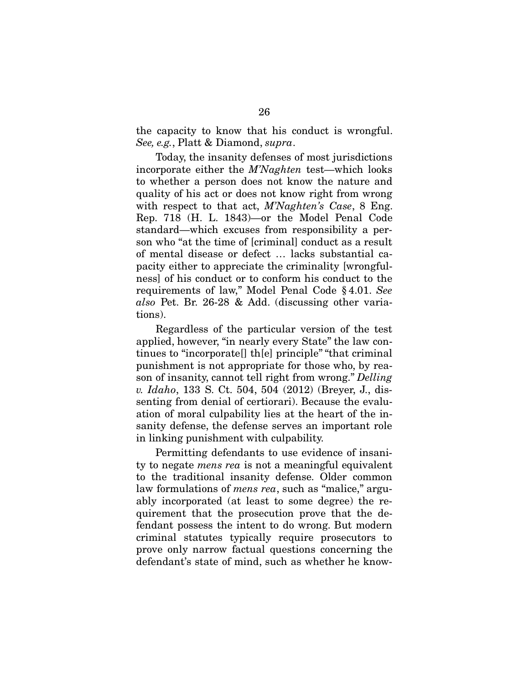the capacity to know that his conduct is wrongful. *See, e.g.*, Platt & Diamond, *supra*.

Today, the insanity defenses of most jurisdictions incorporate either the *M'Naghten* test—which looks to whether a person does not know the nature and quality of his act or does not know right from wrong with respect to that act, *M'Naghten's Case*, 8 Eng. Rep. 718 (H. L. 1843)—or the Model Penal Code standard—which excuses from responsibility a person who "at the time of [criminal] conduct as a result of mental disease or defect … lacks substantial capacity either to appreciate the criminality [wrongfulness] of his conduct or to conform his conduct to the requirements of law," Model Penal Code § 4.01. *See also* Pet. Br. 26-28 & Add. (discussing other variations).

Regardless of the particular version of the test applied, however, "in nearly every State" the law continues to "incorporate[] th[e] principle" "that criminal punishment is not appropriate for those who, by reason of insanity, cannot tell right from wrong." *Delling v. Idaho*, 133 S. Ct. 504, 504 (2012) (Breyer, J., dissenting from denial of certiorari). Because the evaluation of moral culpability lies at the heart of the insanity defense, the defense serves an important role in linking punishment with culpability.

Permitting defendants to use evidence of insanity to negate *mens rea* is not a meaningful equivalent to the traditional insanity defense. Older common law formulations of *mens rea*, such as "malice," arguably incorporated (at least to some degree) the requirement that the prosecution prove that the defendant possess the intent to do wrong. But modern criminal statutes typically require prosecutors to prove only narrow factual questions concerning the defendant's state of mind, such as whether he know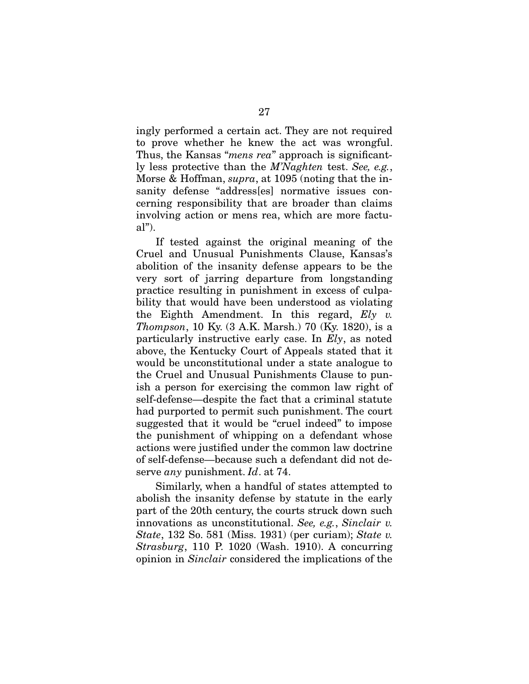ingly performed a certain act. They are not required to prove whether he knew the act was wrongful. Thus, the Kansas "*mens rea*" approach is significantly less protective than the *M'Naghten* test. *See, e.g.*, Morse & Hoffman, *supra*, at 1095 (noting that the insanity defense "address[es] normative issues concerning responsibility that are broader than claims involving action or mens rea, which are more factual").

If tested against the original meaning of the Cruel and Unusual Punishments Clause, Kansas's abolition of the insanity defense appears to be the very sort of jarring departure from longstanding practice resulting in punishment in excess of culpability that would have been understood as violating the Eighth Amendment. In this regard, *Ely v. Thompson*, 10 Ky. (3 A.K. Marsh.) 70 (Ky. 1820), is a particularly instructive early case. In *Ely*, as noted above, the Kentucky Court of Appeals stated that it would be unconstitutional under a state analogue to the Cruel and Unusual Punishments Clause to punish a person for exercising the common law right of self-defense—despite the fact that a criminal statute had purported to permit such punishment. The court suggested that it would be "cruel indeed" to impose the punishment of whipping on a defendant whose actions were justified under the common law doctrine of self-defense—because such a defendant did not deserve *any* punishment. *Id*. at 74.

Similarly, when a handful of states attempted to abolish the insanity defense by statute in the early part of the 20th century, the courts struck down such innovations as unconstitutional. *See, e.g.*, *Sinclair v. State*, 132 So. 581 (Miss. 1931) (per curiam); *State v. Strasburg*, 110 P. 1020 (Wash. 1910). A concurring opinion in *Sinclair* considered the implications of the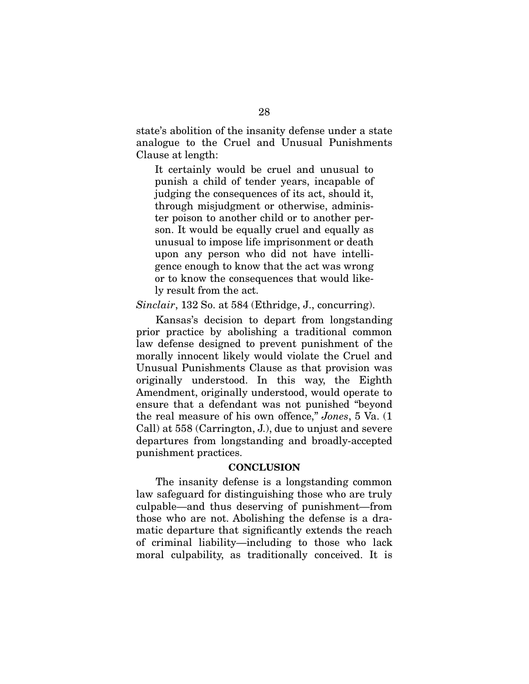state's abolition of the insanity defense under a state analogue to the Cruel and Unusual Punishments Clause at length:

It certainly would be cruel and unusual to punish a child of tender years, incapable of judging the consequences of its act, should it, through misjudgment or otherwise, administer poison to another child or to another person. It would be equally cruel and equally as unusual to impose life imprisonment or death upon any person who did not have intelligence enough to know that the act was wrong or to know the consequences that would likely result from the act.

*Sinclair*, 132 So. at 584 (Ethridge, J., concurring).

Kansas's decision to depart from longstanding prior practice by abolishing a traditional common law defense designed to prevent punishment of the morally innocent likely would violate the Cruel and Unusual Punishments Clause as that provision was originally understood. In this way, the Eighth Amendment, originally understood, would operate to ensure that a defendant was not punished "beyond the real measure of his own offence," *Jones*, 5 Va. (1 Call) at 558 (Carrington, J.), due to unjust and severe departures from longstanding and broadly-accepted punishment practices.

#### **CONCLUSION**

The insanity defense is a longstanding common law safeguard for distinguishing those who are truly culpable—and thus deserving of punishment—from those who are not. Abolishing the defense is a dramatic departure that significantly extends the reach of criminal liability—including to those who lack moral culpability, as traditionally conceived. It is